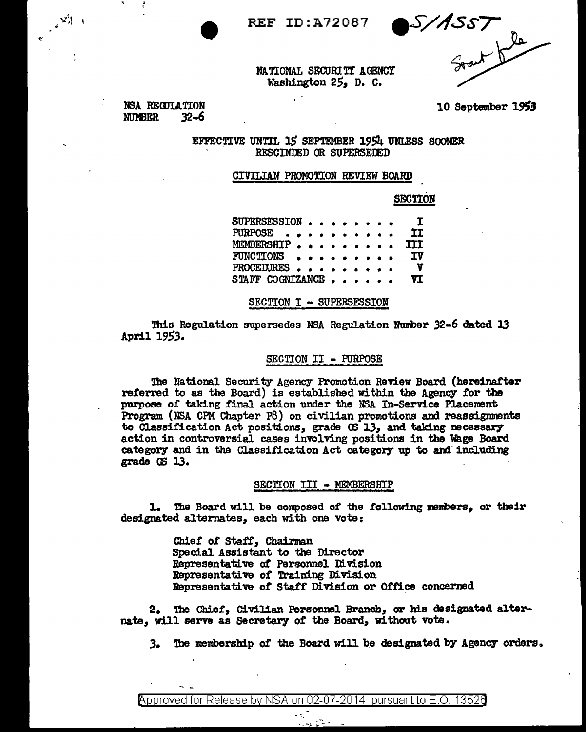**REF ID: A72087** 

S/ASST

NATIONAL SECURITY AGENCY Washington 25, D. C.

NSA REGULATION **NUMBER**  $32 - 6$ 

10 September 1953

EFFECTIVE UNTIL 15 SEPTEMBER 1954 UNLESS SOONER RESCINDED OR SUPERSEDED

### CIVILIAN PROMOTION REVIEW BOARD

**SECTION** 

SUPERSESSION . . **T** PURPOSE . . **TT** MEMBERSHIP. **TIT** FUNCTIONS Iν PROCEDURES . .  $\mathbf{v}$ STAFF COGNIZANCE VI

SECTION I - SUPERSESSION

This Regulation supersedes NSA Regulation Number 32-6 dated 13 April 1953.

#### SECTION II - PURPOSE

The National Security Agency Promotion Review Board (hereinafter referred to as the Board) is established within the Agency for the purpose of taking final action under the NSA In-Service Placement Program (NSA CPM Chapter P8) on civilian promotions and reassignments to Classification Act positions, grade CS 13, and taking necessary action in controversial cases involving positions in the Wage Board category and in the Classification Act category up to and including grade GS 13.

## SECTION III - MEMBERSHIP

1. The Board will be composed of the following members, or their designated alternates, each with one vote:

> Chief of Staff, Chairman Special Assistant to the Director Representative of Personnel Division Representative of Training Division Representative of Staff Division or Office concerned

2. The Chief, Civilian Personnel Branch, or his designated alternate, will serve as Secretary of the Board, without vote.

3. The membership of the Board will be designated by Agency orders.